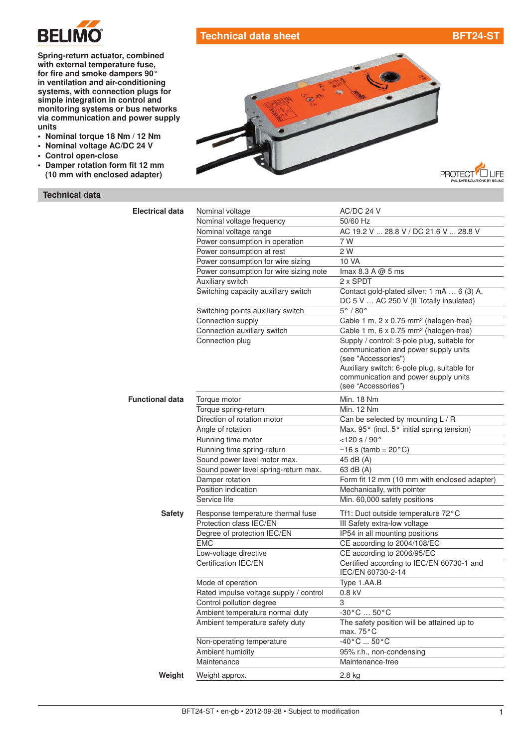

## Technical data sheet [BFT24-ST](http://planetaklimata.com.ua/catalog/lineup/?goodsid=697&path=root-22-45-153-697)

LIFE

Spring-return actuator, combined with external temperature fuse, for fire and smoke dampers 90° in [ventilation](http://planetaklimata.com.ua/) and air-conditioning systems, with connection plugs for simple integration in control and monitoring systems or bus networks via communication and power supply units

- Nominal torque 18 Nm / 12 Nm
- Nominal voltage AC/DC 24 V
- Control open-close
- Damper rotation form fit 12 mm (10 mm with enclosed adapter)

## Technical data



| <b>Electrical data</b> | Nominal voltage                        | AC/DC 24 V                                                                                                                                                                                                               |
|------------------------|----------------------------------------|--------------------------------------------------------------------------------------------------------------------------------------------------------------------------------------------------------------------------|
|                        | Nominal voltage frequency              | 50/60 Hz                                                                                                                                                                                                                 |
|                        | Nominal voltage range                  | AC 19.2 V  28.8 V / DC 21.6 V  28.8 V                                                                                                                                                                                    |
|                        | Power consumption in operation         | 7 W                                                                                                                                                                                                                      |
|                        | Power consumption at rest              | 2 W                                                                                                                                                                                                                      |
|                        | Power consumption for wire sizing      | 10 VA                                                                                                                                                                                                                    |
|                        | Power consumption for wire sizing note | Imax 8.3 A $@$ 5 ms                                                                                                                                                                                                      |
|                        | Auxiliary switch                       | 2 x SPDT                                                                                                                                                                                                                 |
|                        | Switching capacity auxiliary switch    | Contact gold-plated silver: 1 mA  6 (3) A,<br>DC 5 V  AC 250 V (II Totally insulated)                                                                                                                                    |
|                        | Switching points auxiliary switch      | $5^\circ/80^\circ$                                                                                                                                                                                                       |
|                        | Connection supply                      | Cable 1 m, 2 x 0.75 mm <sup>2</sup> (halogen-free)                                                                                                                                                                       |
|                        | Connection auxiliary switch            | Cable 1 m, 6 x 0.75 mm <sup>2</sup> (halogen-free)                                                                                                                                                                       |
|                        | Connection plug                        | Supply / control: 3-pole plug, suitable for<br>communication and power supply units<br>(see "Accessories")<br>Auxiliary switch: 6-pole plug, suitable for<br>communication and power supply units<br>(see "Accessories") |
| <b>Functional data</b> | Torque motor                           | Min. 18 Nm                                                                                                                                                                                                               |
|                        | Torque spring-return                   | <b>Min. 12 Nm</b>                                                                                                                                                                                                        |
|                        | Direction of rotation motor            | Can be selected by mounting L / R                                                                                                                                                                                        |
|                        | Angle of rotation                      | Max. 95° (incl. 5° initial spring tension)                                                                                                                                                                               |
|                        | Running time motor                     | $<$ 120 s / 90 $^{\circ}$                                                                                                                                                                                                |
|                        | Running time spring-return             | $~16$ s (tamb = 20 $^{\circ}$ C)                                                                                                                                                                                         |
|                        | Sound power level motor max.           | 45 dB (A)                                                                                                                                                                                                                |
|                        | Sound power level spring-return max.   | 63 dB (A)                                                                                                                                                                                                                |
|                        | Damper rotation                        | Form fit 12 mm (10 mm with enclosed adapter)                                                                                                                                                                             |
|                        | Position indication                    | Mechanically, with pointer                                                                                                                                                                                               |
|                        | Service life                           | Min. 60,000 safety positions                                                                                                                                                                                             |
| <b>Safety</b>          | Response temperature thermal fuse      | Tf1: Duct outside temperature 72°C                                                                                                                                                                                       |
|                        | Protection class IEC/EN                | III Safety extra-low voltage                                                                                                                                                                                             |
|                        | Degree of protection IEC/EN            | IP54 in all mounting positions                                                                                                                                                                                           |
|                        | <b>EMC</b>                             | CE according to 2004/108/EC                                                                                                                                                                                              |
|                        | Low-voltage directive                  | CE according to 2006/95/EC                                                                                                                                                                                               |
|                        | Certification IEC/EN                   | Certified according to IEC/EN 60730-1 and<br>IEC/EN 60730-2-14                                                                                                                                                           |
|                        | Mode of operation                      | Type 1.AA.B                                                                                                                                                                                                              |
|                        | Rated impulse voltage supply / control | $0.8$ kV                                                                                                                                                                                                                 |
|                        | Control pollution degree               | 3                                                                                                                                                                                                                        |
|                        | Ambient temperature normal duty        | $-30\degree$ C $$ 50 $\degree$ C                                                                                                                                                                                         |
|                        | Ambient temperature safety duty        | The safety position will be attained up to<br>max. $75^{\circ}$ C                                                                                                                                                        |
|                        | Non-operating temperature              | $-40\,^{\circ}$ C $50\,^{\circ}$ C                                                                                                                                                                                       |
|                        | Ambient humidity                       | 95% r.h., non-condensing                                                                                                                                                                                                 |
|                        | Maintenance                            | Maintenance-free                                                                                                                                                                                                         |
| Weight                 | Weight approx.                         | 2.8 kg                                                                                                                                                                                                                   |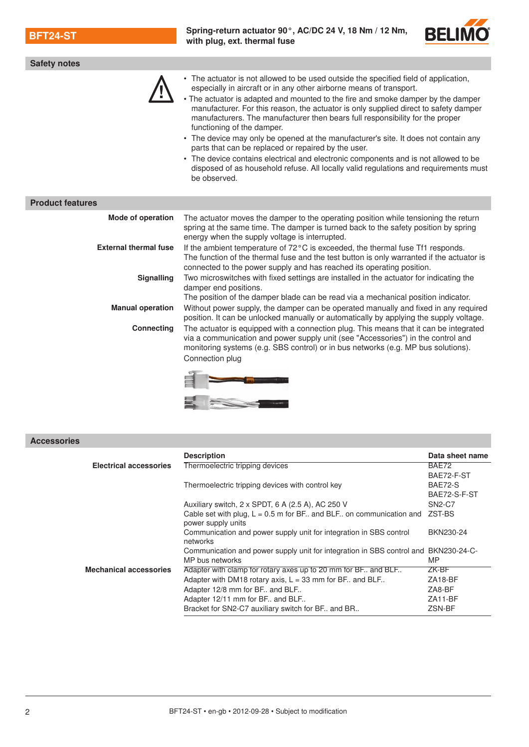BFT24-ST [Spring-return actuator](http://planetaklimata.com.ua/katalog-proizvoditeli/Belimo/) 90°, AC/DC 24 V, 18 Nm / 12 Nm, with plug, ext. thermal fuse



| Safety notes                 |                                                                                                                                                                                                                                                                                                                                                                                                                                                                                                                                                                                                                                                                                                                                                                                                     |
|------------------------------|-----------------------------------------------------------------------------------------------------------------------------------------------------------------------------------------------------------------------------------------------------------------------------------------------------------------------------------------------------------------------------------------------------------------------------------------------------------------------------------------------------------------------------------------------------------------------------------------------------------------------------------------------------------------------------------------------------------------------------------------------------------------------------------------------------|
|                              | • The actuator is not allowed to be used outside the specified field of application,<br>especially in aircraft or in any other airborne means of transport.<br>• The actuator is adapted and mounted to the fire and smoke damper by the damper<br>manufacturer. For this reason, the actuator is only supplied direct to safety damper<br>manufacturers. The manufacturer then bears full responsibility for the proper<br>functioning of the damper.<br>• The device may only be opened at the manufacturer's site. It does not contain any<br>parts that can be replaced or repaired by the user.<br>• The device contains electrical and electronic components and is not allowed to be<br>disposed of as household refuse. All locally valid regulations and requirements must<br>be observed. |
| <b>Product features</b>      |                                                                                                                                                                                                                                                                                                                                                                                                                                                                                                                                                                                                                                                                                                                                                                                                     |
| <b>Mode of operation</b>     | The actuator moves the damper to the operating position while tensioning the return<br>spring at the same time. The damper is turned back to the safety position by spring<br>energy when the supply voltage is interrupted.                                                                                                                                                                                                                                                                                                                                                                                                                                                                                                                                                                        |
| <b>External thermal fuse</b> | If the ambient temperature of 72°C is exceeded, the thermal fuse Tf1 responds.<br>The function of the thermal fuse and the test button is only warranted if the actuator is<br>connected to the power supply and has reached its operating position.                                                                                                                                                                                                                                                                                                                                                                                                                                                                                                                                                |
| <b>Signalling</b>            | Two microswitches with fixed settings are installed in the actuator for indicating the<br>damper end positions.<br>The position of the damper blade can be read via a mechanical position indicator.                                                                                                                                                                                                                                                                                                                                                                                                                                                                                                                                                                                                |
| <b>Manual operation</b>      | Without power supply, the damper can be operated manually and fixed in any required<br>position. It can be unlocked manually or automatically by applying the supply voltage.                                                                                                                                                                                                                                                                                                                                                                                                                                                                                                                                                                                                                       |
| <b>Connecting</b>            | The actuator is equipped with a connection plug. This means that it can be integrated<br>via a communication and power supply unit (see "Accessories") in the control and<br>monitoring systems (e.g. SBS control) or in bus networks (e.g. MP bus solutions).<br>Connection plug                                                                                                                                                                                                                                                                                                                                                                                                                                                                                                                   |



Accessories

| <b>Description</b>                                                                                     | Data sheet name |
|--------------------------------------------------------------------------------------------------------|-----------------|
| Thermoelectric tripping devices                                                                        | BAE72           |
|                                                                                                        | BAE72-F-ST      |
| Thermoelectric tripping devices with control key                                                       | BAE72-S         |
|                                                                                                        | BAE72-S-F-ST    |
| Auxiliary switch, 2 x SPDT, 6 A (2.5 A), AC 250 V                                                      | <b>SN2-C7</b>   |
| Cable set with plug, $L = 0.5$ m for BF and BLF on communication and<br>power supply units             | ZST-BS          |
| Communication and power supply unit for integration in SBS control<br>networks                         | BKN230-24       |
| Communication and power supply unit for integration in SBS control and BKN230-24-C-<br>MP bus networks | <b>MP</b>       |
| Adapter with clamp for rotary axes up to 20 mm for BF and BLF                                          | ZK-BF           |
| Adapter with DM18 rotary axis, $L = 33$ mm for BF. and BLF.                                            | ZA18-BF         |
| Adapter 12/8 mm for BF and BLF                                                                         | ZA8-BF          |
| Adapter 12/11 mm for BF and BLF                                                                        | ZA11-BF         |
| Bracket for SN2-C7 auxiliary switch for BF. and BR.                                                    | ZSN-BF          |
|                                                                                                        |                 |